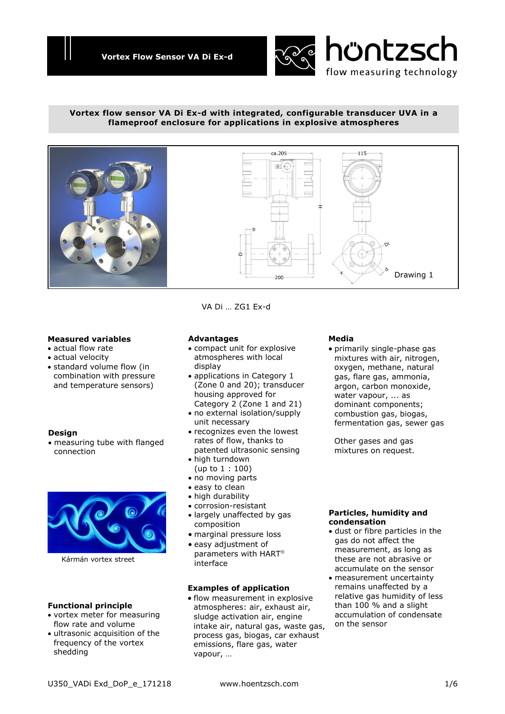

## **Vortex flow sensor VA Di Ex-d with integrated, configurable transducer UVA in a flameproof enclosure for applications in explosive atmospheres**



### **Measured variables**

- actual flow rate
- actual velocity
- standard volume flow (in combination with pressure and temperature sensors)

### **Design**

 measuring tube with flanged connection



Kármán vortex street

### **Functional principle**

- vortex meter for measuring flow rate and volume
- ultrasonic acquisition of the frequency of the vortex shedding

## **Advantages**

 compact unit for explosive atmospheres with local display

VA Di … ZG1 Ex-d

- applications in Category 1 (Zone 0 and 20); transducer housing approved for Category 2 (Zone 1 and 21)
- no external isolation/supply unit necessary
- recognizes even the lowest rates of flow, thanks to patented ultrasonic sensing
- high turndown (up to 1 : 100)
- no moving parts
- easy to clean
- high durability
- corrosion-resistant
- largely unaffected by gas composition
- marginal pressure loss
- easy adjustment of parameters with HART interface

### **Examples of application**

 flow measurement in explosive atmospheres: air, exhaust air, sludge activation air, engine intake air, natural gas, waste gas, process gas, biogas, car exhaust emissions, flare gas, water vapour, …

### **Media**

 primarily single-phase gas mixtures with air, nitrogen, oxygen, methane, natural gas, flare gas, ammonia, argon, carbon monoxide, water vapour, ... as dominant components; combustion gas, biogas, fermentation gas, sewer gas

Other gases and gas mixtures on request.

### **Particles, humidity and condensation**

- dust or fibre particles in the gas do not affect the measurement, as long as these are not abrasive or accumulate on the sensor
- measurement uncertainty remains unaffected by a relative gas humidity of less than 100 % and a slight accumulation of condensate on the sensor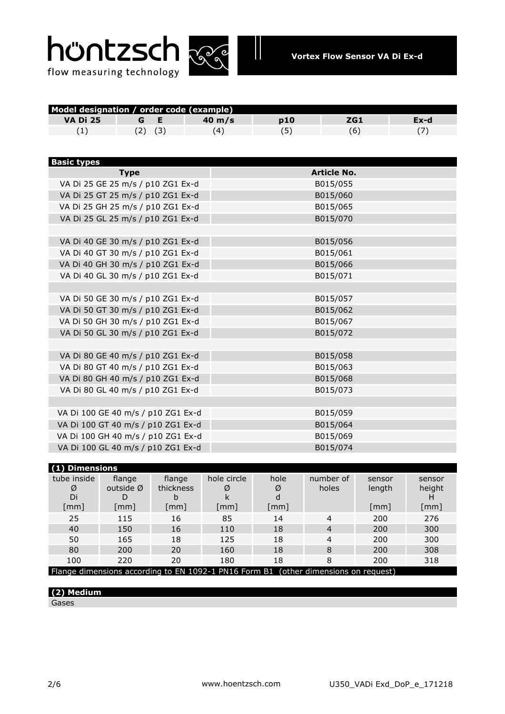



| Model designation / order code (example) |             |             |             |      |                    |        |        |
|------------------------------------------|-------------|-------------|-------------|------|--------------------|--------|--------|
| <b>VA Di 25</b>                          | G           | Е           | 40 m/s      | p10  | ZG1                |        | $Ex-d$ |
| (1)                                      |             | $(2)$ $(3)$ | (4)         | (5)  | (6)                |        | (7)    |
|                                          |             |             |             |      |                    |        |        |
|                                          |             |             |             |      |                    |        |        |
| <b>Basic types</b>                       |             |             |             |      |                    |        |        |
|                                          | <b>Type</b> |             |             |      | <b>Article No.</b> |        |        |
| VA Di 25 GE 25 m/s / p10 ZG1 Ex-d        |             |             |             |      | B015/055           |        |        |
| VA Di 25 GT 25 m/s / p10 ZG1 Ex-d        |             |             |             |      | B015/060           |        |        |
| VA Di 25 GH 25 m/s / p10 ZG1 Ex-d        |             |             |             |      | B015/065           |        |        |
| VA Di 25 GL 25 m/s / p10 ZG1 Ex-d        |             |             |             |      | B015/070           |        |        |
|                                          |             |             |             |      |                    |        |        |
| VA Di 40 GE 30 m/s / p10 ZG1 Ex-d        |             |             |             |      | B015/056           |        |        |
| VA Di 40 GT 30 m/s / p10 ZG1 Ex-d        |             |             |             |      | B015/061           |        |        |
| VA Di 40 GH 30 m/s / p10 ZG1 Ex-d        |             |             |             |      | B015/066           |        |        |
| VA Di 40 GL 30 m/s / p10 ZG1 Ex-d        |             |             |             |      | B015/071           |        |        |
|                                          |             |             |             |      |                    |        |        |
| VA Di 50 GE 30 m/s / p10 ZG1 Ex-d        |             |             |             |      | B015/057           |        |        |
| VA Di 50 GT 30 m/s / p10 ZG1 Ex-d        |             |             |             |      | B015/062           |        |        |
| VA Di 50 GH 30 m/s / p10 ZG1 Ex-d        |             |             |             |      | B015/067           |        |        |
| VA Di 50 GL 30 m/s / p10 ZG1 Ex-d        |             |             |             |      | B015/072           |        |        |
|                                          |             |             |             |      |                    |        |        |
| VA Di 80 GE 40 m/s / p10 ZG1 Ex-d        |             |             |             |      | B015/058           |        |        |
| VA Di 80 GT 40 m/s / p10 ZG1 Ex-d        |             |             |             |      | B015/063           |        |        |
| VA Di 80 GH 40 m/s / p10 ZG1 Ex-d        |             |             |             |      | B015/068           |        |        |
| VA Di 80 GL 40 m/s / p10 ZG1 Ex-d        |             |             |             |      | B015/073           |        |        |
|                                          |             |             |             |      |                    |        |        |
| VA Di 100 GE 40 m/s / p10 ZG1 Ex-d       |             |             |             |      | B015/059           |        |        |
| VA Di 100 GT 40 m/s / p10 ZG1 Ex-d       |             |             |             |      | B015/064           |        |        |
| VA Di 100 GH 40 m/s / p10 ZG1 Ex-d       |             |             |             |      | B015/069           |        |        |
| VA Di 100 GL 40 m/s / p10 ZG1 Ex-d       |             |             |             |      | B015/074           |        |        |
|                                          |             |             |             |      |                    |        |        |
| (1) Dimensions                           |             |             |             |      |                    |        |        |
| tube inside                              | flange      | flange      | hole circle | hole | number of          | sensor | sensor |

| tube inside                                                                         | flange               | flange    | hole circle          | hole                 | number of | sensor               | sensor |
|-------------------------------------------------------------------------------------|----------------------|-----------|----------------------|----------------------|-----------|----------------------|--------|
| Ø                                                                                   | outside $\emptyset$  | thickness | Ø                    | Ø                    | holes     | length               | height |
| Di                                                                                  |                      |           |                      | d                    |           |                      |        |
| $\lceil$ mm $\rceil$                                                                | $\lceil$ mm $\rceil$ | [mm]      | $\lceil$ mm $\rceil$ | $\lceil$ mm $\rceil$ |           | $\lceil$ mm $\rceil$ | [mm]   |
| 25                                                                                  | 115                  | 16        | 85                   | 14                   | 4         | 200                  | 276    |
| 40                                                                                  | 150                  | 16        | 110                  | 18                   | 4         | 200                  | 300    |
| 50                                                                                  | 165                  | 18        | 125                  | 18                   | 4         | 200                  | 300    |
| 80                                                                                  | 200                  | 20        | 160                  | 18                   | 8         | 200                  | 308    |
| 100                                                                                 | 220                  | 20        | 180                  | 18                   | 8         | 200                  | 318    |
| Flange dimensions according to EN 1092-1 PN16 Form B1 (other dimensions on request) |                      |           |                      |                      |           |                      |        |

# **(2) Medium**

Gases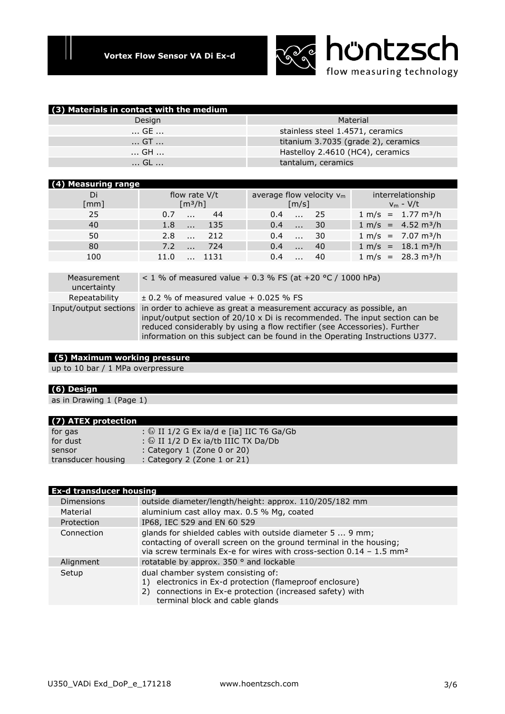

| (3) Materials in contact with the medium |                                     |
|------------------------------------------|-------------------------------------|
| Design                                   | Material                            |
| … GE …                                   | stainless steel 1.4571, ceramics    |
| GT                                       | titanium 3.7035 (grade 2), ceramics |
| GH                                       | Hastelloy 2.4610 (HC4), ceramics    |
| … GL …                                   | tantalum, ceramics                  |

## **(4) Measuring range**

| 1177 MEASULING LANGE       |                                        |                                                    |                                  |
|----------------------------|----------------------------------------|----------------------------------------------------|----------------------------------|
| Di<br>$\lceil$ mm $\rceil$ | flow rate V/t<br>$\lceil m^3/h \rceil$ | average flow velocity $v_m$<br>$\lceil m/s \rceil$ | interrelationship<br>$v_m - V/t$ |
| 25                         | 44<br>0.7                              | $-25$<br>$0.4^{\circ}$                             | $1 m/s = 1.77 m3/h$              |
| 40                         | -135<br>1.8                            | 30<br>0.4<br>$\ddotsc$                             | $1 m/s = 4.52 m3/h$              |
| 50                         | -212<br>$2.8 \ldots$                   | 30<br>0.4<br>$\cdot$ $\cdot$ $\cdot$               | $1 m/s = 7.07 m3/h$              |
| 80                         | -724<br>7.2                            | 40<br>0.4                                          | $1 m/s = 18.1 m3/h$              |
| 100                        | 11.0<br>$\sim 1131$                    | 0.4<br>40                                          | $1 m/s = 28.3 m3/h$              |
|                            |                                        |                                                    |                                  |

| Measurement<br>uncertainty | < 1 % of measured value + 0.3 % FS (at +20 °C / 1000 hPa)                                                                                                                                                                                                                                                                                    |
|----------------------------|----------------------------------------------------------------------------------------------------------------------------------------------------------------------------------------------------------------------------------------------------------------------------------------------------------------------------------------------|
| Repeatability              | $\pm$ 0.2 % of measured value + 0.025 % FS                                                                                                                                                                                                                                                                                                   |
|                            | Input/output sections in order to achieve as great a measurement accuracy as possible, an<br>input/output section of $20/10 \times$ Di is recommended. The input section can be<br>reduced considerably by using a flow rectifier (see Accessories). Further<br>information on this subject can be found in the Operating Instructions U377. |
|                            |                                                                                                                                                                                                                                                                                                                                              |

# **(5) Maximum working pressure**

up to 10 bar / 1 MPa overpressure

## **(6) Design**

as in Drawing 1 (Page 1)

### **(7) ATEX protection**

| $\mathbf{r}$       |                                                    |
|--------------------|----------------------------------------------------|
| for gas            | : $\circledS$ II 1/2 G Ex ia/d e [ia] IIC T6 Ga/Gb |
| for dust           | : $\circledcirc$ II 1/2 D Ex ia/tb IIIC TX Da/Db   |
| sensor             | : Category 1 (Zone 0 or 20)                        |
| transducer housing | : Category 2 (Zone 1 or 21)                        |

## **Ex-d transducer housing**

| <b>Dimensions</b> | outside diameter/length/height: approx. 110/205/182 mm                                                                                                                                                                 |
|-------------------|------------------------------------------------------------------------------------------------------------------------------------------------------------------------------------------------------------------------|
| Material          | aluminium cast alloy max. 0.5 % Mg, coated                                                                                                                                                                             |
| Protection        | IP68, IEC 529 and EN 60 529                                                                                                                                                                                            |
| Connection        | glands for shielded cables with outside diameter 5  9 mm;<br>contacting of overall screen on the ground terminal in the housing;<br>via screw terminals Ex-e for wires with cross-section $0.14 - 1.5$ mm <sup>2</sup> |
| Alignment         | rotatable by approx. 350 ° and lockable                                                                                                                                                                                |
| Setup             | dual chamber system consisting of:<br>1) electronics in Ex-d protection (flameproof enclosure)<br>2) connections in Ex-e protection (increased safety) with<br>terminal block and cable glands                         |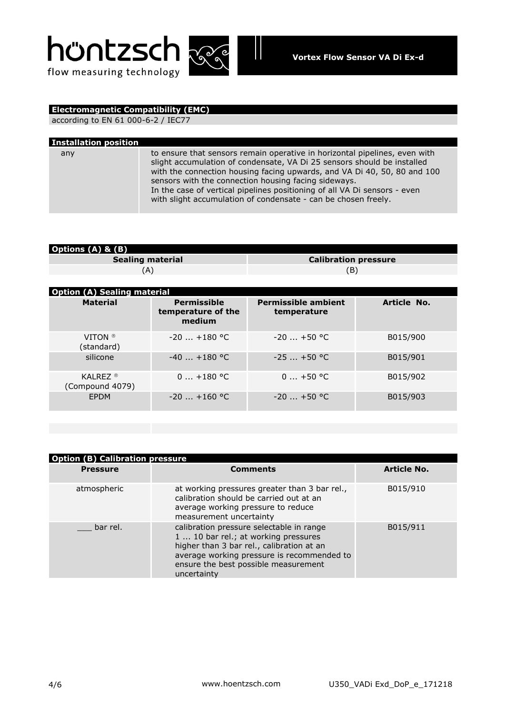



# **Electromagnetic Compatibility (EMC)**

according to EN 61 000-6-2 / IEC77

| <b>Installation position</b> |                                                                                                                                                                                                                                                                                                                                                                                                                                          |
|------------------------------|------------------------------------------------------------------------------------------------------------------------------------------------------------------------------------------------------------------------------------------------------------------------------------------------------------------------------------------------------------------------------------------------------------------------------------------|
| any                          | to ensure that sensors remain operative in horizontal pipelines, even with<br>slight accumulation of condensate, VA Di 25 sensors should be installed<br>with the connection housing facing upwards, and VA Di 40, 50, 80 and 100<br>sensors with the connection housing facing sideways.<br>In the case of vertical pipelines positioning of all VA Di sensors - even<br>with slight accumulation of condensate - can be chosen freely. |

Ш

| <b>Options (A) &amp; (B)</b> |                             |  |
|------------------------------|-----------------------------|--|
| <b>Sealing material</b>      | <b>Calibration pressure</b> |  |
|                              |                             |  |

| <b>Option (A) Sealing material</b>       |                                                    |                                           |             |
|------------------------------------------|----------------------------------------------------|-------------------------------------------|-------------|
| <b>Material</b>                          | <b>Permissible</b><br>temperature of the<br>medium | <b>Permissible ambient</b><br>temperature | Article No. |
| VITON <sup>®</sup><br>(standard)         | $-20$ $+180$ °C                                    | $-20$ $+50$ °C                            | B015/900    |
| silicone                                 | $-40$ $+180$ °C                                    | $-25$ $+50$ °C                            | B015/901    |
| KAI RFZ $\textdegree$<br>(Compound 4079) | $0+180$ °C                                         | $0+50$ °C                                 | B015/902    |
| <b>FPDM</b>                              | $-20$ $+160$ °C                                    | $-20$ $+50$ °C                            | B015/903    |

| <b>Option (B) Calibration pressure</b> |                                                                                                                                                                                                                                    |                    |  |  |
|----------------------------------------|------------------------------------------------------------------------------------------------------------------------------------------------------------------------------------------------------------------------------------|--------------------|--|--|
| <b>Pressure</b>                        | <b>Comments</b>                                                                                                                                                                                                                    | <b>Article No.</b> |  |  |
| atmospheric                            | at working pressures greater than 3 bar rel.,<br>calibration should be carried out at an<br>average working pressure to reduce<br>measurement uncertainty                                                                          | B015/910           |  |  |
| bar rel.                               | calibration pressure selectable in range<br>1  10 bar rel.; at working pressures<br>higher than 3 bar rel., calibration at an<br>average working pressure is recommended to<br>ensure the best possible measurement<br>uncertainty | B015/911           |  |  |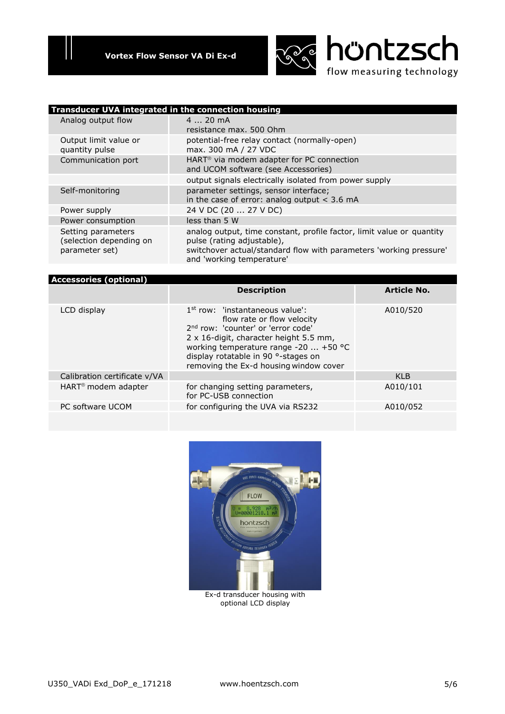

| Transducer UVA integrated in the connection housing             |                                                                                                                                                                                                        |
|-----------------------------------------------------------------|--------------------------------------------------------------------------------------------------------------------------------------------------------------------------------------------------------|
| Analog output flow                                              | $420$ mA<br>resistance max. 500 Ohm                                                                                                                                                                    |
| Output limit value or<br>quantity pulse                         | potential-free relay contact (normally-open)<br>max. 300 mA / 27 VDC                                                                                                                                   |
| Communication port                                              | HART <sup>®</sup> via modem adapter for PC connection<br>and UCOM software (see Accessories)                                                                                                           |
|                                                                 | output signals electrically isolated from power supply                                                                                                                                                 |
| Self-monitoring                                                 | parameter settings, sensor interface;<br>in the case of error: analog output $<$ 3.6 mA                                                                                                                |
| Power supply                                                    | 24 V DC (20  27 V DC)                                                                                                                                                                                  |
| Power consumption                                               | less than 5 W                                                                                                                                                                                          |
| Setting parameters<br>(selection depending on<br>parameter set) | analog output, time constant, profile factor, limit value or quantity<br>pulse (rating adjustable),<br>switchover actual/standard flow with parameters 'working pressure'<br>and 'working temperature' |

| <b>Accessories (optional)</b>   |                                                                                                                                                                                                                                                                                       |                    |
|---------------------------------|---------------------------------------------------------------------------------------------------------------------------------------------------------------------------------------------------------------------------------------------------------------------------------------|--------------------|
|                                 | <b>Description</b>                                                                                                                                                                                                                                                                    | <b>Article No.</b> |
| LCD display                     | $1st$ row: 'instantaneous value':<br>flow rate or flow velocity<br>2 <sup>nd</sup> row: 'counter' or 'error code'<br>2 x 16-digit, character height 5.5 mm,<br>working temperature range -20  +50 °C<br>display rotatable in 90 °-stages on<br>removing the Ex-d housing window cover | A010/520           |
| Calibration certificate v/VA    |                                                                                                                                                                                                                                                                                       | KI <sub>B</sub>    |
| HART <sup>®</sup> modem adapter | for changing setting parameters,<br>for PC-USB connection                                                                                                                                                                                                                             | A010/101           |
| PC software UCOM                | for configuring the UVA via RS232                                                                                                                                                                                                                                                     | A010/052           |
|                                 |                                                                                                                                                                                                                                                                                       |                    |



optional LCD display